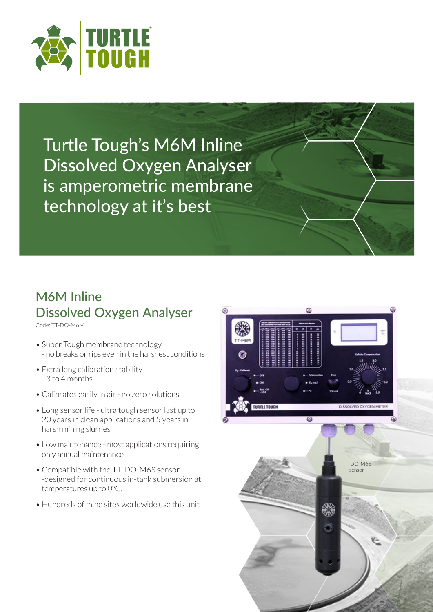

Turtle Tough's M6M Inline Dissolved Oxygen Analyser is amperometric membrane technology at it's best

## M6M Inline Dissolved Oxygen Analyser

Code: TT-DO-M6M

- Super Tough membrane technology - no breaks or rips even in the harshest conditions
- Extra long calibration stability - 3 to 4 months
- Calibrates easily in air no zero solutions
- Long sensor life ultra tough sensor last up to? 20 years in clean applications and 5 years in $\mathbb Z$ harsh mining slurries
- Low maintenance most applications requiring<sup>?</sup> only annual maintenance
- Compatible with the TT-DO-M6S sensor -designed for continuous in-tank submersion at $\mathbb Z$ temperatures up to  $@^{\circ}C$ .
- Hundreds of mine sites worldwide use this unit

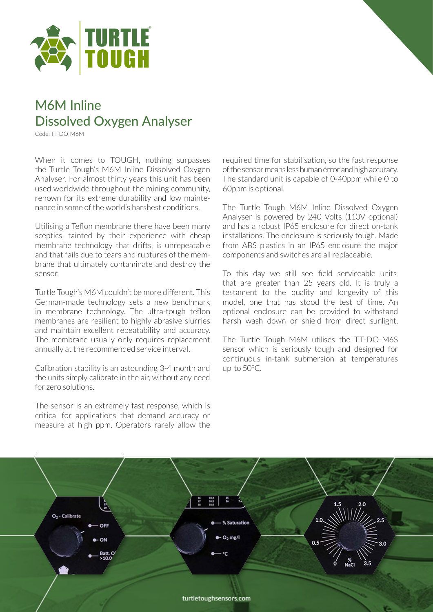

## M6M Inline Dissolved Oxygen Analyser

Code: TT-DO-M6M

When it comes to TOUGH, nothing surpasses the Turtle Tough's M6M Inline Dissolved Oxygen Analyser. For almost thirty years this unit has been used worldwide throughout the mining community, renown for its extreme durability and low maintenance in some of the world's harshest conditions.

Utilising a Teflon membrane there have been many sceptics, tainted by their experience with cheap membrane technology that drifts, is unrepeatable and that fails due to tears and ruptures of the membrane that ultimately contaminate and destroy the sensor.

Turtle Tough's M6M couldn't be more different. This German-made technology sets a new benchmark in membrane technology. The ultra-tough teflon membranes are resilient to highly abrasive slurries and maintain excellent repeatability and accuracy. The membrane usually only requires replacement annually at the recommended service interval.

Calibration stability is an astounding 3-4 month and the units simply calibrate in the air, without any need for zero solutions.

The sensor is an extremely fast response, which is critical for applications that demand accuracy or measure at high ppm. Operators rarely allow the required time for stabilisation, so the fast response of the sensor means less human error and high accuracy. The standard unit is capable of 0-40ppm while 0 to 60ppm is optional.

The Turtle Tough M6M Inline Dissolved Oxygen Analyser is powered by 240 Volts (110V optional) and has a robust IP65 enclosure for direct on-tank installations. The enclosure is seriously tough. Made from ABS plastics in an IP65 enclosure the major components and switches are all replaceable.

To this day we still see field serviceable units that are greater than 25 years old. It is truly a testament to the quality and longevity of this model, one that has stood the test of time. An optional enclosure can be provided to withstand harsh wash down or shield from direct sunlight.

The Turtle Tough M6M utilises the TT-DO-M6S sensor which is seriously tough and designed for continuous in-tank submersion at temperatures up to 50°C.